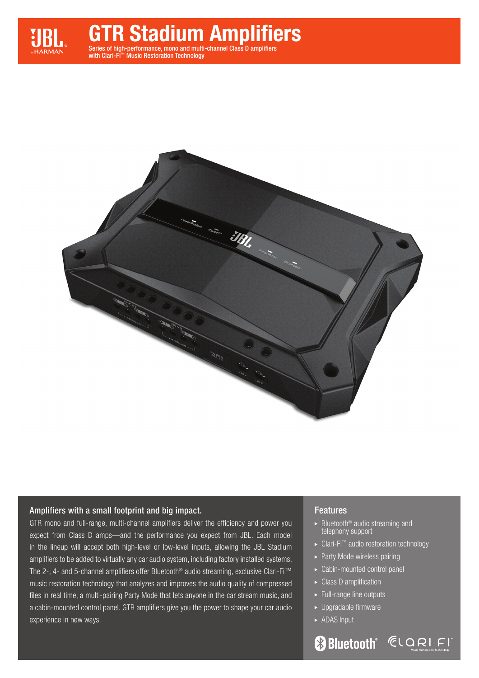

with Clari-Fi™ Music Restoration Technology



### Amplifiers with a small footprint and big impact.

GTR mono and full-range, multi-channel amplifiers deliver the efficiency and power you expect from Class D amps—and the performance you expect from JBL. Each model in the lineup will accept both high-level or low-level inputs, allowing the JBL Stadium amplifiers to be added to virtually any car audio system, including factory installed systems. The 2-, 4- and 5-channel amplifiers offer Bluetooth® audio streaming, exclusive Clari-Fi™ music restoration technology that analyzes and improves the audio quality of compressed files in real time, a multi-pairing Party Mode that lets anyone in the car stream music, and a cabin-mounted control panel. GTR amplifiers give you the power to shape your car audio experience in new ways.

#### Features

- $\blacktriangleright$  Bluetooth<sup>®</sup> audio streaming and telephony support
- ► Clari-Fi<sup>™</sup> audio restoration technology
- ▶ Party Mode wireless pairing
- Cabin-mounted control panel
- ▶ Class D amplification
- Full-range line outputs
- ► Upgradable firmware
- ▶ ADAS Input